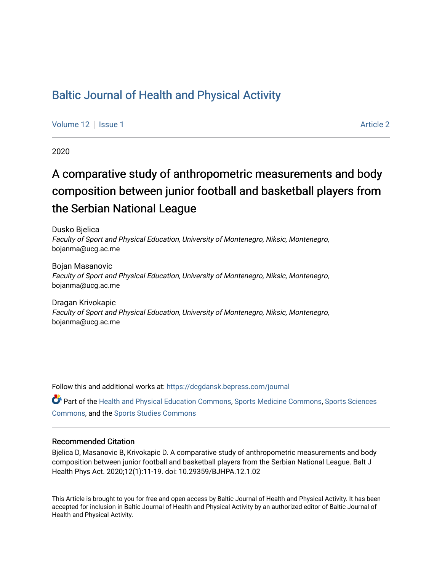### [Baltic Journal of Health and Physical Activity](https://dcgdansk.bepress.com/journal)

[Volume 12](https://dcgdansk.bepress.com/journal/vol12) | [Issue 1](https://dcgdansk.bepress.com/journal/vol12/iss1) [Article 2](https://dcgdansk.bepress.com/journal/vol12/iss1/2) | Article 2 | Article 2 | Article 2 | Article 2 | Article 2 | Article 2 | Article 2

2020

# A comparative study of anthropometric measurements and body composition between junior football and basketball players from the Serbian National League

Dusko Bjelica Faculty of Sport and Physical Education, University of Montenegro, Niksic, Montenegro, bojanma@ucg.ac.me

Bojan Masanovic Faculty of Sport and Physical Education, University of Montenegro, Niksic, Montenegro, bojanma@ucg.ac.me

Dragan Krivokapic Faculty of Sport and Physical Education, University of Montenegro, Niksic, Montenegro, bojanma@ucg.ac.me

Follow this and additional works at: [https://dcgdansk.bepress.com/journal](https://dcgdansk.bepress.com/journal?utm_source=dcgdansk.bepress.com%2Fjournal%2Fvol12%2Fiss1%2F2&utm_medium=PDF&utm_campaign=PDFCoverPages)

Part of the [Health and Physical Education Commons](http://network.bepress.com/hgg/discipline/1327?utm_source=dcgdansk.bepress.com%2Fjournal%2Fvol12%2Fiss1%2F2&utm_medium=PDF&utm_campaign=PDFCoverPages), [Sports Medicine Commons,](http://network.bepress.com/hgg/discipline/1331?utm_source=dcgdansk.bepress.com%2Fjournal%2Fvol12%2Fiss1%2F2&utm_medium=PDF&utm_campaign=PDFCoverPages) [Sports Sciences](http://network.bepress.com/hgg/discipline/759?utm_source=dcgdansk.bepress.com%2Fjournal%2Fvol12%2Fiss1%2F2&utm_medium=PDF&utm_campaign=PDFCoverPages) [Commons](http://network.bepress.com/hgg/discipline/759?utm_source=dcgdansk.bepress.com%2Fjournal%2Fvol12%2Fiss1%2F2&utm_medium=PDF&utm_campaign=PDFCoverPages), and the [Sports Studies Commons](http://network.bepress.com/hgg/discipline/1198?utm_source=dcgdansk.bepress.com%2Fjournal%2Fvol12%2Fiss1%2F2&utm_medium=PDF&utm_campaign=PDFCoverPages) 

#### Recommended Citation

Bjelica D, Masanovic B, Krivokapic D. A comparative study of anthropometric measurements and body composition between junior football and basketball players from the Serbian National League. Balt J Health Phys Act. 2020;12(1):11-19. doi: 10.29359/BJHPA.12.1.02

This Article is brought to you for free and open access by Baltic Journal of Health and Physical Activity. It has been accepted for inclusion in Baltic Journal of Health and Physical Activity by an authorized editor of Baltic Journal of Health and Physical Activity.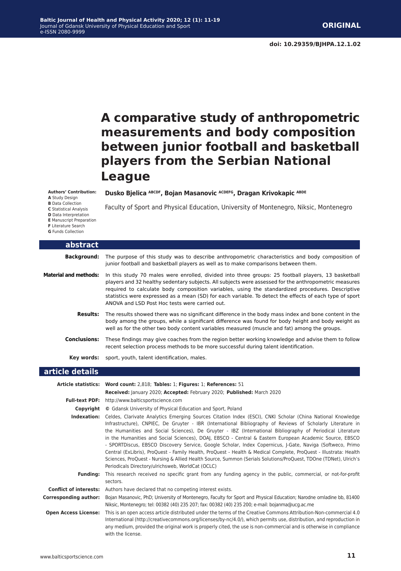## **A comparative study of anthropometric measurements and body composition between junior football and basketball players from the Serbian National League**

**Authors' Contribution:**

**A** Study Design **B** Data Collection **C** Statistical Analysis **D** Data Interpretation **E** Manuscript Preparation **F** Literature Search **G** Funds Collection

Dusko Bjelica ABCDF, Bojan Masanovic ACDEFG, Dragan Krivokapic ABDE

Faculty of Sport and Physical Education, University of Montenegro, Niksic, Montenegro

| abstract                     |                                                                                                                                                                                                                                                                                                                                                                                                                                                                               |
|------------------------------|-------------------------------------------------------------------------------------------------------------------------------------------------------------------------------------------------------------------------------------------------------------------------------------------------------------------------------------------------------------------------------------------------------------------------------------------------------------------------------|
| Background:                  | The purpose of this study was to describe anthropometric characteristics and body composition of<br>junior football and basketball players as well as to make comparisons between them.                                                                                                                                                                                                                                                                                       |
| <b>Material and methods:</b> | In this study 70 males were enrolled, divided into three groups: 25 football players, 13 basketball<br>players and 32 healthy sedentary subjects. All subjects were assessed for the anthropometric measures<br>required to calculate body composition variables, using the standardized procedures. Descriptive<br>statistics were expressed as a mean (SD) for each variable. To detect the effects of each type of sport<br>ANOVA and LSD Post Hoc tests were carried out. |
| Results:                     | The results showed there was no significant difference in the body mass index and bone content in the<br>body among the groups, while a significant difference was found for body height and body weight as<br>well as for the other two body content variables measured (muscle and fat) among the groups.                                                                                                                                                                   |
| <b>Conclusions:</b>          | These findings may give coaches from the region better working knowledge and advise them to follow<br>recent selection process methods to be more successful during talent identification.                                                                                                                                                                                                                                                                                    |
| Key words:                   | sport, youth, talent identification, males.                                                                                                                                                                                                                                                                                                                                                                                                                                   |
| article details              |                                                                                                                                                                                                                                                                                                                                                                                                                                                                               |

|                              | Article statistics: Word count: 2,818; Tables: 1; Figures: 1; References: 51                                                                                                                                                                                                                                                                                                                                                                                                                                                                                                                                                                                                                                                                                                                                                                                  |  |  |  |  |
|------------------------------|---------------------------------------------------------------------------------------------------------------------------------------------------------------------------------------------------------------------------------------------------------------------------------------------------------------------------------------------------------------------------------------------------------------------------------------------------------------------------------------------------------------------------------------------------------------------------------------------------------------------------------------------------------------------------------------------------------------------------------------------------------------------------------------------------------------------------------------------------------------|--|--|--|--|
|                              | Received: January 2020; Accepted: February 2020; Published: March 2020                                                                                                                                                                                                                                                                                                                                                                                                                                                                                                                                                                                                                                                                                                                                                                                        |  |  |  |  |
|                              | <b>Full-text PDF:</b> http://www.balticsportscience.com                                                                                                                                                                                                                                                                                                                                                                                                                                                                                                                                                                                                                                                                                                                                                                                                       |  |  |  |  |
| Copyright                    | © Gdansk University of Physical Education and Sport, Poland                                                                                                                                                                                                                                                                                                                                                                                                                                                                                                                                                                                                                                                                                                                                                                                                   |  |  |  |  |
| Indexation:                  | Celdes, Clarivate Analytics Emerging Sources Citation Index (ESCI), CNKI Scholar (China National Knowledge<br>Infrastructure), CNPIEC, De Gruyter - IBR (International Bibliography of Reviews of Scholarly Literature in<br>the Humanities and Social Sciences), De Gruyter - IBZ (International Bibliography of Periodical Literature<br>in the Humanities and Social Sciences), DOAJ, EBSCO - Central & Eastern European Academic Source, EBSCO<br>- SPORTDiscus, EBSCO Discovery Service, Google Scholar, Index Copernicus, J-Gate, Naviga (Softweco, Primo<br>Central (ExLibris), ProQuest - Family Health, ProQuest - Health & Medical Complete, ProQuest - Illustrata: Health<br>Sciences, ProQuest - Nursing & Allied Health Source, Summon (Serials Solutions/ProQuest, TDOne (TDNet), Ulrich's<br>Periodicals Directory/ulrichsweb, WorldCat (OCLC) |  |  |  |  |
| <b>Funding:</b>              | This research received no specific grant from any funding agency in the public, commercial, or not-for-profit<br>sectors.                                                                                                                                                                                                                                                                                                                                                                                                                                                                                                                                                                                                                                                                                                                                     |  |  |  |  |
|                              | <b>Conflict of interests:</b> Authors have declared that no competing interest exists.                                                                                                                                                                                                                                                                                                                                                                                                                                                                                                                                                                                                                                                                                                                                                                        |  |  |  |  |
| <b>Corresponding author:</b> | Bojan Masanovic, PhD; University of Montenegro, Faculty for Sport and Physical Education; Narodne omladine bb, 81400<br>Niksic, Montenegro; tel: 00382 (40) 235 207; fax: 00382 (40) 235 200; e-mail: bojanma@ucg.ac.me                                                                                                                                                                                                                                                                                                                                                                                                                                                                                                                                                                                                                                       |  |  |  |  |
| <b>Open Access License:</b>  | This is an open access article distributed under the terms of the Creative Commons Attribution-Non-commercial 4.0<br>International (http://creativecommons.org/licenses/by-nc/4.0/), which permits use, distribution, and reproduction in<br>any medium, provided the original work is properly cited, the use is non-commercial and is otherwise in compliance<br>with the license.                                                                                                                                                                                                                                                                                                                                                                                                                                                                          |  |  |  |  |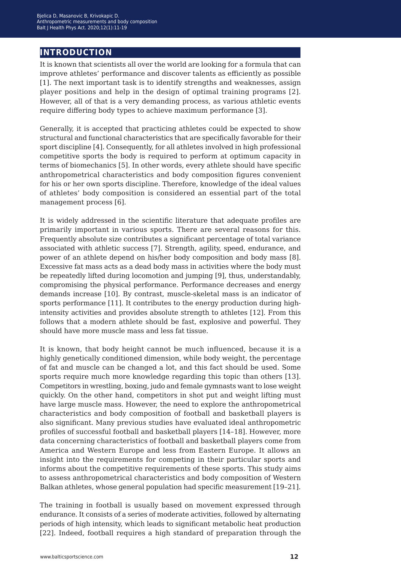### **introduction**

It is known that scientists all over the world are looking for a formula that can improve athletes' performance and discover talents as efficiently as possible [1]. The next important task is to identify strengths and weaknesses, assign player positions and help in the design of optimal training programs [2]. However, all of that is a very demanding process, as various athletic events require differing body types to achieve maximum performance [3].

Generally, it is accepted that practicing athletes could be expected to show structural and functional characteristics that are specifically favorable for their sport discipline [4]. Consequently, for all athletes involved in high professional competitive sports the body is required to perform at optimum capacity in terms of biomechanics [5]. In other words, every athlete should have specific anthropometrical characteristics and body composition figures convenient for his or her own sports discipline. Therefore, knowledge of the ideal values of athletes' body composition is considered an essential part of the total management process [6].

It is widely addressed in the scientific literature that adequate profiles are primarily important in various sports. There are several reasons for this. Frequently absolute size contributes a significant percentage of total variance associated with athletic success [7]. Strength, agility, speed, endurance, and power of an athlete depend on his/her body composition and body mass [8]. Excessive fat mass acts as a dead body mass in activities where the body must be repeatedly lifted during locomotion and jumping [9], thus, understandably, compromising the physical performance. Performance decreases and energy demands increase [10]. By contrast, muscle-skeletal mass is an indicator of sports performance [11]. It contributes to the energy production during highintensity activities and provides absolute strength to athletes [12]. From this follows that a modern athlete should be fast, explosive and powerful. They should have more muscle mass and less fat tissue.

It is known, that body height cannot be much influenced, because it is a highly genetically conditioned dimension, while body weight, the percentage of fat and muscle can be changed a lot, and this fact should be used. Some sports require much more knowledge regarding this topic than others [13]. Competitors in wrestling, boxing, judo and female gymnasts want to lose weight quickly. On the other hand, competitors in shot put and weight lifting must have large muscle mass. However, the need to explore the anthropometrical characteristics and body composition of football and basketball players is also significant. Many previous studies have evaluated ideal anthropometric profiles of successful football and basketball players [14–18]. However, more data concerning characteristics of football and basketball players come from America and Western Europe and less from Eastern Europe. It allows an insight into the requirements for competing in their particular sports and informs about the competitive requirements of these sports. This study aims to assess anthropometrical characteristics and body composition of Western Balkan athletes, whose general population had specific measurement [19–21].

The training in football is usually based on movement expressed through endurance. It consists of a series of moderate activities, followed by alternating periods of high intensity, which leads to significant metabolic heat production [22]. Indeed, football requires a high standard of preparation through the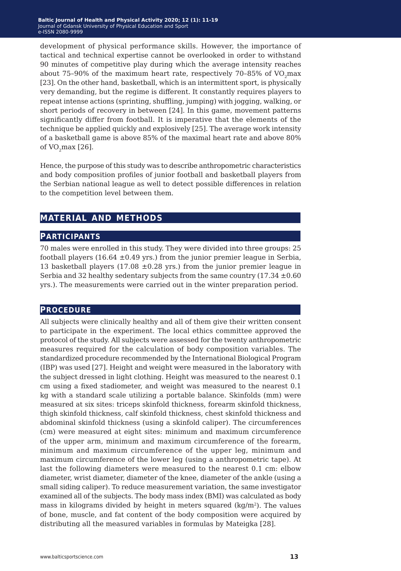development of physical performance skills. However, the importance of tactical and technical expertise cannot be overlooked in order to withstand 90 minutes of competitive play during which the average intensity reaches about  $75-90\%$  of the maximum heart rate, respectively  $70-85\%$  of VO<sub>2</sub>max [23]. On the other hand, basketball, which is an intermittent sport, is physically very demanding, but the regime is different. It constantly requires players to repeat intense actions (sprinting, shuffling, jumping) with jogging, walking, or short periods of recovery in between [24]. In this game, movement patterns significantly differ from football. It is imperative that the elements of the technique be applied quickly and explosively [25]. The average work intensity of a basketball game is above 85% of the maximal heart rate and above 80% of  $VO<sub>2</sub>max [26]$ .

Hence, the purpose of this study was to describe anthropometric characteristics and body composition profiles of junior football and basketball players from the Serbian national league as well to detect possible differences in relation to the competition level between them.

#### **material and methods**

#### **participants**

70 males were enrolled in this study. They were divided into three groups: 25 football players (16.64  $\pm$ 0.49 yrs.) from the junior premier league in Serbia, 13 basketball players (17.08  $\pm$ 0.28 yrs.) from the junior premier league in Serbia and 32 healthy sedentary subjects from the same country  $(17.34 \pm 0.60$ yrs.). The measurements were carried out in the winter preparation period.

#### **procedure**

All subjects were clinically healthy and all of them give their written consent to participate in the experiment. The local ethics committee approved the protocol of the study. All subjects were assessed for the twenty anthropometric measures required for the calculation of body composition variables. The standardized procedure recommended by the International Biological Program (IBP) was used [27]. Height and weight were measured in the laboratory with the subject dressed in light clothing. Height was measured to the nearest 0.1 cm using a fixed stadiometer, and weight was measured to the nearest 0.1 kg with a standard scale utilizing a portable balance. Skinfolds (mm) were measured at six sites: triceps skinfold thickness, forearm skinfold thickness, thigh skinfold thickness, calf skinfold thickness, chest skinfold thickness and abdominal skinfold thickness (using a skinfold caliper). The circumferences (cm) were measured at eight sites: minimum and maximum circumference of the upper arm, minimum and maximum circumference of the forearm, minimum and maximum circumference of the upper leg, minimum and maximum circumference of the lower leg (using a anthropometric tape). At last the following diameters were measured to the nearest 0.1 cm: elbow diameter, wrist diameter, diameter of the knee, diameter of the ankle (using a small siding caliper). To reduce measurement variation, the same investigator examined all of the subjects. The body mass index (BMI) was calculated as body mass in kilograms divided by height in meters squared (kg/m<sup>2</sup>). The values of bone, muscle, and fat content of the body composition were acquired by distributing all the measured variables in formulas by Mateigka [28].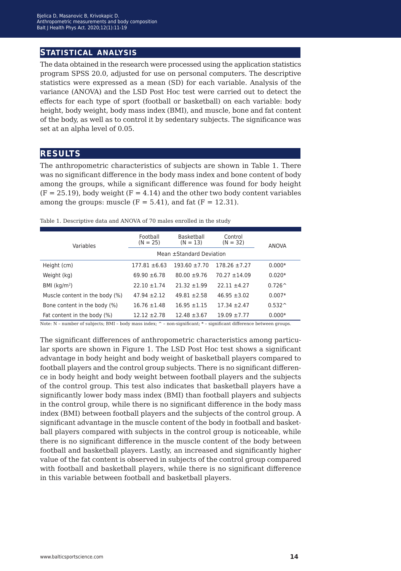#### **statistical analysis**

The data obtained in the research were processed using the application statistics program SPSS 20.0, adjusted for use on personal computers. The descriptive statistics were expressed as a mean (SD) for each variable. Analysis of the variance (ANOVA) and the LSD Post Hoc test were carried out to detect the effects for each type of sport (football or basketball) on each variable: body height, body weight, body mass index (BMI), and muscle, bone and fat content of the body, as well as to control it by sedentary subjects. The significance was set at an alpha level of 0.05.

#### **results**

The anthropometric characteristics of subjects are shown in Table 1. There was no significant difference in the body mass index and bone content of body among the groups, while a significant difference was found for body height  $(F = 25.19)$ , body weight  $(F = 4.14)$  and the other two body content variables among the groups: muscle  $(F = 5.41)$ , and fat  $(F = 12.31)$ .

Table 1. Descriptive data and ANOVA of 70 males enrolled in the study

| Variables                      | Football<br>$(N = 25)$   | Basketball<br>$(N = 13)$ | Control<br>$(N = 32)$ | ANOVA           |
|--------------------------------|--------------------------|--------------------------|-----------------------|-----------------|
|                                | Mean ±Standard Deviation |                          |                       |                 |
| Height (cm)                    | $177.81 \pm 6.63$        | $193.60 \pm 7.70$        | $178.26 \pm 7.27$     | $0.000*$        |
| Weight (kg)                    | $69.90 \pm 6.78$         | $80.00 \pm 9.76$         | $70.27 + 14.09$       | $0.020*$        |
| BMI $(kq/m2)$                  | $22.10 \pm 1.74$         | $21.32 + 1.99$           | $22.11 + 4.27$        | $0.726^{\circ}$ |
| Muscle content in the body (%) | $47.94 + 2.12$           | $49.81 + 2.58$           | $46.95 \pm 3.02$      | $0.007*$        |
| Bone content in the body (%)   | $16.76 \pm 1.48$         | $16.95 \pm 1.15$         | $17.34 \pm 2.47$      | $0.532^{\circ}$ |
| Fat content in the body (%)    | $12.12 \pm 2.78$         | $12.48 \pm 3.67$         | $19.09 + 7.77$        | $0.000*$        |

Note: N – number of subjects; BMI – body mass index; ^ – non-significant; \* – significant difference between groups.

The significant differences of anthropometric characteristics among particular sports are shown in Figure 1. The LSD Post Hoc test shows a significant advantage in body height and body weight of basketball players compared to football players and the control group subjects. There is no significant difference in body height and body weight between football players and the subjects of the control group. This test also indicates that basketball players have a significantly lower body mass index (BMI) than football players and subjects in the control group, while there is no significant difference in the body mass index (BMI) between football players and the subjects of the control group. A significant advantage in the muscle content of the body in football and basketball players compared with subjects in the control group is noticeable, while there is no significant difference in the muscle content of the body between football and basketball players. Lastly, an increased and significantly higher value of the fat content is observed in subjects of the control group compared with football and basketball players, while there is no significant difference in this variable between football and basketball players.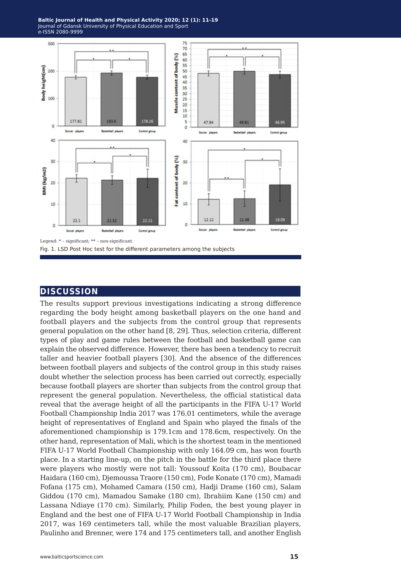**Baltic Journal of Health and Physical Activity 2014; 1(1): 1-4 Baltic Journal of Health and Physical Activity 2020; 12 (1): 11-19** Journal of Gdansk University of Physical Education and Sport Journal of Gdansk University of Physical Education and Sport e-ISSN 2080-9999 e-ISSN 2080-9999



#### **discussion**

The results support previous investigations indicating a strong difference regarding the body height among basketball players on the one hand and football players and the subjects from the control group that represents general population on the other hand [8, 29]. Thus, selection criteria, different types of play and game rules between the football and basketball game can explain the observed difference. However, there has been a tendency to recruit taller and heavier football players [30]. And the absence of the differences between football players and subjects of the control group in this study raises doubt whether the selection process has been carried out correctly, especially because football players are shorter than subjects from the control group that represent the general population. Nevertheless, the official statistical data reveal that the average height of all the participants in the FIFA U-17 World Football Championship India 2017 was 176.01 centimeters, while the average height of representatives of England and Spain who played the finals of the aforementioned championship is 179.1cm and 178.6cm, respectively. On the other hand, representation of Mali, which is the shortest team in the mentioned FIFA U-17 World Football Championship with only 164.09 cm, has won fourth place. In a starting line-up, on the pitch in the battle for the third place there were players who mostly were not tall: Youssouf Koita (170 cm), Boubacar Haidara (160 cm), Djemoussa Traore (150 cm), Fode Konate (170 cm), Mamadi Fofana (175 cm), Mohamed Camara (150 cm), Hadji Drame (160 cm), Salam Giddou (170 cm), Mamadou Samake (180 cm), Ibrahiim Kane (150 cm) and Lassana Ndiaye (170 cm). Similarly, Philip Foden, the best young player in England and the best one of FIFA U-17 World Football Championship in India 2017, was 169 centimeters tall, while the most valuable Brazilian players, Paulinho and Brenner, were 174 and 175 centimeters tall, and another English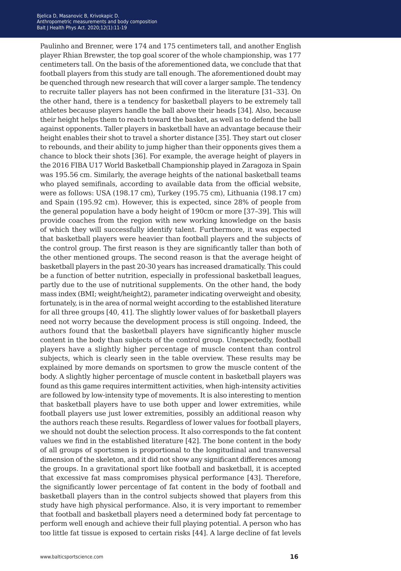Paulinho and Brenner, were 174 and 175 centimeters tall, and another English player Rhian Brewster, the top goal scorer of the whole championship, was 177 centimeters tall. On the basis of the aforementioned data, we conclude that that football players from this study are tall enough. The aforementioned doubt may be quenched through new research that will cover a larger sample. The tendency to recruite taller players has not been confirmed in the literature [31–33]. On the other hand, there is a tendency for basketball players to be extremely tall athletes because players handle the ball above their heads [34]. Also, because their height helps them to reach toward the basket, as well as to defend the ball against opponents. Taller players in basketball have an advantage because their height enables their shot to travel a shorter distance [35]. They start out closer to rebounds, and their ability to jump higher than their opponents gives them a chance to block their shots [36]. For example, the average height of players in the 2016 FIBA U17 World Basketball Championship played in Zaragoza in Spain was 195.56 cm. Similarly, the average heights of the national basketball teams who played semifinals, according to available data from the official website, were as follows: USA (198.17 cm), Turkey (195.75 cm), Lithuania (198.17 cm) and Spain (195.92 cm). However, this is expected, since 28% of people from the general population have a body height of 190cm or more [37–39]. This will provide coaches from the region with new working knowledge on the basis of which they will successfully identify talent. Furthermore, it was expected that basketball players were heavier than football players and the subjects of the control group. The first reason is they are significantly taller than both of the other mentioned groups. The second reason is that the average height of basketball players in the past 20-30 years has increased dramatically. This could be a function of better nutrition, especially in professional basketball leagues, partly due to the use of nutritional supplements. On the other hand, the body mass index (BMI; weight/height2), parameter indicating overweight and obesity, fortunately, is in the area of normal weight according to the established literature for all three groups [40, 41]. The slightly lower values of for basketball players need not worry because the development process is still ongoing. Indeed, the authors found that the basketball players have significantly higher muscle content in the body than subjects of the control group. Unexpectedly, football players have a slightly higher percentage of muscle content than control subjects, which is clearly seen in the table overview. These results may be explained by more demands on sportsmen to grow the muscle content of the body. A slightly higher percentage of muscle content in basketball players was found as this game requires intermittent activities, when high-intensity activities are followed by low-intensity type of movements. It is also interesting to mention that basketball players have to use both upper and lower extremities, while football players use just lower extremities, possibly an additional reason why the authors reach these results. Regardless of lower values for football players, we should not doubt the selection process. It also corresponds to the fat content values we find in the established literature [42]. The bone content in the body of all groups of sportsmen is proportional to the longitudinal and transversal dimension of the skeleton, and it did not show any significant differences among the groups. In a gravitational sport like football and basketball, it is accepted that excessive fat mass compromises physical performance [43]. Therefore, the significantly lower percentage of fat content in the body of football and basketball players than in the control subjects showed that players from this study have high physical performance. Also, it is very important to remember that football and basketball players need a determined body fat percentage to perform well enough and achieve their full playing potential. A person who has too little fat tissue is exposed to certain risks [44]. A large decline of fat levels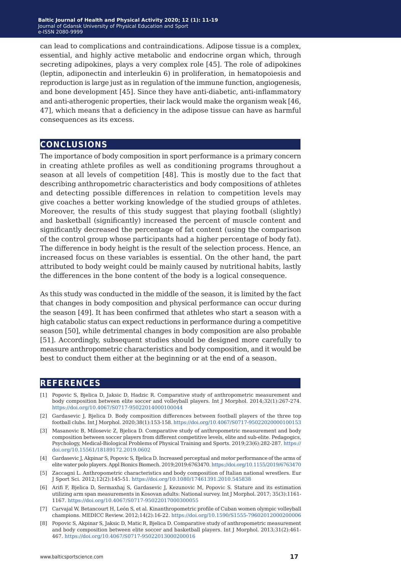can lead to complications and contraindications. Adipose tissue is a complex, essential, and highly active metabolic and endocrine organ which, through secreting adipokines, plays a very complex role [45]. The role of adipokines (leptin, adiponectin and interleukin 6) in proliferation, in hematopoiesis and reproduction is large just as in regulation of the immune function, angiogenesis, and bone development [45]. Since they have anti-diabetic, anti-inflammatory and anti-atherogenic properties, their lack would make the organism weak [46, 47], which means that a deficiency in the adipose tissue can have as harmful consequences as its excess.

#### **conclusions**

The importance of body composition in sport performance is a primary concern in creating athlete profiles as well as conditioning programs throughout a season at all levels of competition [48]. This is mostly due to the fact that describing anthropometric characteristics and body compositions of athletes and detecting possible differences in relation to competition levels may give coaches a better working knowledge of the studied groups of athletes. Moreover, the results of this study suggest that playing football (slightly) and basketball (significantly) increased the percent of muscle content and significantly decreased the percentage of fat content (using the comparison of the control group whose participants had a higher percentage of body fat). The difference in body height is the result of the selection process. Hence, an increased focus on these variables is essential. On the other hand, the part attributed to body weight could be mainly caused by nutritional habits, lastly the differences in the bone content of the body is a logical consequence.

As this study was conducted in the middle of the season, it is limited by the fact that changes in body composition and physical performance can occur during the season [49]. It has been confirmed that athletes who start a season with a high catabolic status can expect reductions in performance during a competitive season [50], while detrimental changes in body composition are also probable [51]. Accordingly, subsequent studies should be designed more carefully to measure anthropometric characteristics and body composition, and it would be best to conduct them either at the beginning or at the end of a season.

#### **references**

- [1] Popovic S, Bjelica D, Jaksic D, Hadzic R. Comparative study of anthropometric measurement and body composition between elite soccer and volleyball players. Int J Morphol. 2014;32(1):267-274. <https://doi.org/10.4067/S0717-95022014000100044>
- [2] Gardasevic J, Bjelica D. Body composition differences between football players of the three top football clubs. Int J Morphol. 2020;38(1):153-158.<https://doi.org/10.4067/S0717-95022020000100153>
- [3] Masanovic B, Milosevic Z, Bjelica D. Comparative study of anthropometric measurement and body composition between soccer players from different competitive levels, elite and sub-elite. Pedagogics, Psychology, Medical-Biological Problems of Physical Training and Sports. 2019;23(6):282-287. [https://](https://doi.org/10.15561/18189172.2019.0602) [doi.org/10.15561/18189172.2019.0602](https://doi.org/10.15561/18189172.2019.0602)
- [4] Gardasevic J, Akpinar S, Popovic S, Bjelica D. Increased perceptual and motor performance of the arms of elite water polo players. Appl Bionics Biomech. 2019;2019:6763470.<https://doi.org/10.1155/2019/6763470>
- [5] Zaccagni L. Anthropometric characteristics and body composition of Italian national wrestlers. Eur J Sport Sci. 2012;12(2):145-51.<https://doi.org/10.1080/17461391.2010.545838>
- [6] Arifi F, Bjelica D, Sermaxhaj S, Gardasevic J, Kezunovic M, Popovic S. Stature and its estimation utilizing arm span measurements in Kosovan adults: National survey. Int J Morphol. 2017; 35(3):1161- 1167. <https://doi.org/10.4067/S0717-95022017000300055>
- [7] Carvajal W, Betancourt H, León S, et al. Kinanthropometric profile of Cuban women olympic volleyball champions. MEDICC Review. 2012;14(2):16-22.<https://doi.org/10.1590/S1555-79602012000200006>
- [8] Popovic S, Akpinar S, Jaksic D, Matic R, Bjelica D. Comparative study of anthropometric measurement and body composition between elite soccer and basketball players. Int J Morphol. 2013;31(2):461- 467. <https://doi.org/10.4067/S0717-95022013000200016>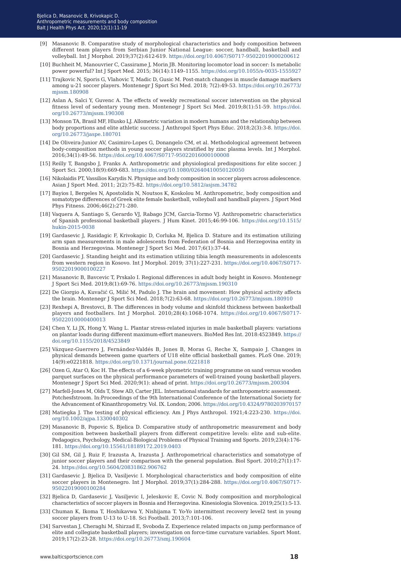- [9] Masanovic B. Comparative study of morphological characteristics and body composition between different team players from Serbian Junior National League: soccer, handball, basketball and volleyball. Int J Morphol. 2019;37(2):612-619. <https://doi.org/10.4067/S0717-95022019000200612>
- [10] Buchheit M, Manouvrier C, Cassirame J, Morin JB. Monitoring locomotor load in soccer: Is metabolic power powerful? Int J Sport Med. 2015; 36(14):1149–1155.<https://doi.org/10.1055/s-0035-1555927>
- [11] Trajkovic N, Sporis G, Vlahovic T, Madic D, Gusic M. Post-match changes in muscle damage markers among u-21 soccer players. Montenegr J Sport Sci Med. 2018; 7(2):49-53. [https://doi.org/10.26773/](https://doi.org/10.26773/mjssm.180908) missm.180908
- [12] Aslan A, Salci Y, Guvenc A. The effects of weekly recreational soccer intervention on the physical fitness level of sedentary young men. Montenegr J Sport Sci Med. 2019;8(1):51-59. [https://doi.](https://doi.org/10.26773/mjssm.190308) [org/10.26773/mjssm.190308](https://doi.org/10.26773/mjssm.190308)
- [13] Monson TA, Brasil MF, Hlusko LJ. Allometric variation in modern humans and the relationship between body proportions and elite athletic success. J Anthropol Sport Phys Educ. 2018;2(3):3-8. [https://doi.](https://doi.org/10.26773/jaspe.180701) [org/10.26773/jaspe.180701](https://doi.org/10.26773/jaspe.180701)
- [14] De Oliveira-Junior AV, Casimiro-Lopes G, Donangelo CM, et al. Methodological agreement between body-composition methods in young soccer players stratified by zinc plasma levels. Int J Morphol. 2016;34(1):49-56. <https://doi.org/10.4067/S0717-95022016000100008>
- [15] Reilly T, Bangsbo J, Franks A. Anthropometric and physiological predispositions for elite soccer. J Sport Sci. 2000;18(9):669-683. <https://doi.org/10.1080/02640410050120050>
- [16] Nikolaidis PT, Vassilios Karydis N. Physique and body composition in soccer players across adolescence. Asian J Sport Med. 2011; 2(2):75-82.<https://doi.org/10.5812/asjsm.34782>
- [17] Bayios I, Bergeles N, Apostolidis N, Noutsos K, Koskolou M. Anthropometric, body composition and somatotype differences of Greek elite female basketball, volleyball and handball players. J Sport Med Phys Fitness. 2006;46(2):271-280.
- [18] Vaquera A, Santiago S, Gerardo VJ, Rabago JCM, Garcia-Tormo VJ. Anthropometric characteristics of Spanish professional basketball players. J Hum Kinet. 2015;46:99-106. [https://doi.org/10.1515/](https://doi.org/10.1515/hukin-2015-0038) [hukin-2015-0038](https://doi.org/10.1515/hukin-2015-0038)
- [19] Gardasevic J, Rasidagic F, Krivokapic D, Corluka M, Bjelica D. Stature and its estimation utilizing arm span measurements in male adolescents from Federation of Bosnia and Herzegovina entity in Bosnia and Herzegovina. Montenegr J Sport Sci Med. 2017;6(1):37-44.
- [20] Gardasevic J. Standing height and its estimation utilizing tibia length measurements in adolescents from western region in Kosovo. Int J Morphol. 2019; 37(1):227-231. [https://doi.org/10.4067/S0717-](https://doi.org/10.4067/S0717-95022019000100227) [95022019000100227](https://doi.org/10.4067/S0717-95022019000100227)
- [21] Masanovic B, Bavcevic T, Prskalo I. Regional differences in adult body height in Kosovo. Montenegr J Sport Sci Med. 2019;8(1):69-76. <https://doi.org/10.26773/mjssm.190310>
- [22] De Giorgio A, Kuvačić G, Milić M, Padulo J. The brain and movement: How physical activity affects the brain. Montenegr J Sport Sci Med. 2018;7(2):63-68.<https://doi.org/10.26773/mjssm.180910>
- [23] Rexhepi A, Brestovci, B. The differences in body volume and skinfold thickness between basketball players and footballers. Int J Morphol. 2010;28(4):1068-1074. [https://doi.org/10.4067/S0717-](https://doi.org/10.4067/S0717-95022010000400013) [95022010000400013](https://doi.org/10.4067/S0717-95022010000400013)
- [24] Chen Y, Li JX, Hong Y, Wang L. Plantar stress-related injuries in male basketball players: variations on plantar loads during different maximum-effort maneuvers. BioMed Res Int. 2018:4523849. [https://](https://doi.org/10.1155/2018/4523849) [doi.org/10.1155/2018/4523849](https://doi.org/10.1155/2018/4523849)
- [25] Vázquez-Guerrero J, Fernández-Valdés B, Jones B, Moras G, Reche X, Sampaio J. Changes in physical demands between game quarters of U18 elite official basketball games. PLoS One. 2019; 14(9):e0221818. <https://doi.org/10.1371/journal.pone.0221818>
- [26] Ozen G, Atar O, Koc H. The effects of a 6-week plyometric training programme on sand versus wooden parquet surfaces on the physical performance parameters of well-trained young basketball players. Montenegr J Sport Sci Med. 2020;9(1): ahead of print.<https://doi.org/10.26773/mjssm.200304>
- [27] Marfell-Jones M, Olds T, Stew AD, Carter JEL. International standards for anthropometric assessment. Potchesfstroom. In:Proceedings of the 9th International Conference of the International Society for the Advancement of Kinanthropometry. Vol. IX. London; 2006.<https://doi.org/10.4324/9780203970157>
- [28] Matiegka J. The testing of physical efficiency. Am J Phys Anthropol. 1921;4:223-230. [https://doi.](https://doi.org/10.1002/ajpa.1330040302) [org/10.1002/ajpa.1330040302](https://doi.org/10.1002/ajpa.1330040302)
- [29] Masanovic B, Popovic S, Bjelica D. Comparative study of anthropometric measurement and body composition between basketball players from different competitive levels: elite and sub-elite. Pedagogics, Psychology, Medical-Biological Problems of Physical Training and Sports. 2019;23(4):176- 181. <https://doi.org/10.15561/18189172.2019.0403>
- [30] Gil SM, Gil J, Ruiz F, Irazusta A, Irazusta J. Anthropometrical characteristics and somatotype of junior soccer players and their comparison with the general population. Biol Sport. 2010;27(1):17- 24.<https://doi.org/10.5604/20831862.906762>
- [31] Gardasevic J, Bjelica D, Vasiljevic I. Morphological characteristics and body composition of elite soccer players in Montenegro. Int J Morphol. 2019;37(1):284-288. [https://doi.org/10.4067/S0717-](https://doi.org/10.4067/S0717-95022019000100284) [95022019000100284](https://doi.org/10.4067/S0717-95022019000100284)
- [32] Bjelica D, Gardasevic J, Vasiljevic I, Jeleskovic E, Covic N. Body composition and morphological characteristics of soccer players in Bosnia and Herzegovina. Kinesiologia Slovenica. 2019;25(1):5-13.
- [33] Chuman K, Ikoma T, Hoshikavwa Y, Nishijama T. Yo-Yo intermittent recovery level2 test in young soccer players from U-13 to U-18. Sci Football. 2013;7:101-106.
- [34] Sarvestan J, Cheraghi M, Shirzad E, Svoboda Z. Experience related impacts on jump performance of elite and collegiate basketball players; investigation on force-time curvature variables. Sport Mont. 2019;17(2):23-28. <https://doi.org/10.26773/smj.190604>